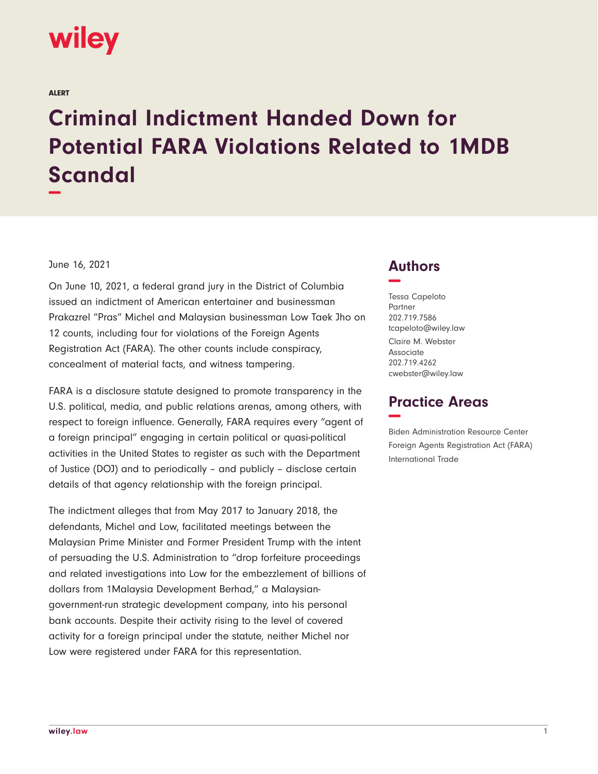

ALERT

## **Criminal Indictment Handed Down for Potential FARA Violations Related to 1MDB Scandal −**

## June 16, 2021

On June 10, 2021, a federal grand jury in the District of Columbia issued an indictment of American entertainer and businessman Prakazrel "Pras" Michel and Malaysian businessman Low Taek Jho on 12 counts, including four for violations of the Foreign Agents Registration Act (FARA). The other counts include conspiracy, concealment of material facts, and witness tampering.

FARA is a disclosure statute designed to promote transparency in the U.S. political, media, and public relations arenas, among others, with respect to foreign influence. Generally, FARA requires every "agent of a foreign principal" engaging in certain political or quasi-political activities in the United States to register as such with the Department of Justice (DOJ) and to periodically – and publicly – disclose certain details of that agency relationship with the foreign principal.

The indictment alleges that from May 2017 to January 2018, the defendants, Michel and Low, facilitated meetings between the Malaysian Prime Minister and Former President Trump with the intent of persuading the U.S. Administration to "drop forfeiture proceedings and related investigations into Low for the embezzlement of billions of dollars from 1Malaysia Development Berhad," a Malaysiangovernment-run strategic development company, into his personal bank accounts. Despite their activity rising to the level of covered activity for a foreign principal under the statute, neither Michel nor Low were registered under FARA for this representation.

## **Authors −**

Tessa Capeloto Partner 202.719.7586 tcapeloto@wiley.law Claire M. Webster Associate 202.719.4262 cwebster@wiley.law

## **Practice Areas −**

Biden Administration Resource Center Foreign Agents Registration Act (FARA) International Trade